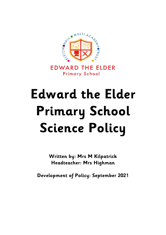

**EDWARD THE ELDER Primary School** 

# **Edward the Elder Primary School Science Policy**

**Written by: Mrs M Kilpatrick Headteacher: Mrs Highman**

**Development of Policy: September 2021**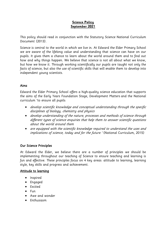# **Science Policy September 2021**

This policy should read in conjunction with the Statutory Science National Curriculum Document (2013).

Science is central to the world in which we live in. At Edward the Elder Primary School we are aware of the lifelong value and understanding that science can have on our pupils. It gives them a chance to learn about the world around them and to find out how and why things happen. We believe that science is not all about what we know, but how we know it. Through working scientifically our pupils are taught not only the facts of science, but also the use of scientific skills that will enable them to develop into independent young scientists.

# Aims

Edward the Elder Primary School offers a high-quality science education that supports the aims of the Early Years Foundation Stage, Development Matters and the National curriculum 'to ensure all pupils:

- develop scientific knowledge and conceptual understanding through the specific disciplines of biology, chemistry and physics
- develop understanding of the nature, processes and methods of science through different types of science enquiries that help them to answer scientific questions about the world around them
- are equipped with the scientific knowledge required to understand the uses and implications of science, today and for the future.' (National Curriculum, 2015)

# Our Science Principles

At Edward the Elder, we believe there are a number of principles we should be implementing throughout our teaching of Science to ensure teaching and learning is fun and effective. These principles focus on 4 key areas: attitude to learning, learning style, key skills and progress and achievement.

# Attitude to learning

- Inspired
- Engaged
- Excited
- $\bullet$  Fun
- Awe and wonder
- Enthusiasm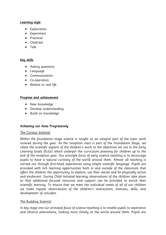# Learning style

- **•** Exploration
- **•** Experiment
- Practical
- Child-led
- $\bullet$  Talk

# Key skills

- Asking questions
- Language
- Communication
- Co-operation
- Relates to real life

# Progress and achievement

- New knowledge
- Develop understanding
- Build on knowledge

# Achieving our Aims Progressively

# The Curious Scientist

Within the foundation stage science is taught as an integral part of the topic work covered during the year. As the reception class is part of the Foundation Stage, we relate the scientific aspects of the children's work to the objectives set out in the Early Learning Goals (ELGs) which underpin the curriculum planning for children up to the end of the reception year. Our principle focus of early science teaching is to encourage pupils to have a natural curiosity of the world around them. Almost all teaching is carried out through first-hand experiences using simple scientific language. Pupils are provided with rich learning opportunities both in and outside of the classroom that offers the children the opportunity to explore, use their senses and be physically active and exuberant. During Child Initiated learning, observations of the children take place so that additional focused resources and support can be provided to enrich their scientific learning. To ensure that we meet the individual needs of all of our children we make regular observations of the children's interactions, interests, skills, and development of concepts.

# The Budding Scientist

In key stage one our principal focus of science teaching is to enable pupils to experience and observe phenomena, looking more closely at the world around them. Pupils are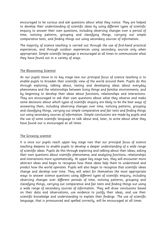encouraged to be curious and ask questions about what they notice. They are helped to develop their understanding of scientific ideas by using different types of scientific enquiry to answer their own questions, including observing changes over a period of time, noticing patterns, grouping and classifying things, carrying out simple comparative tests, and finding things out using secondary sources of information.

The majority of science teaching is carried out through the use of first-hand practical experiences, and through outdoor experiences using secondary sources only when appropriate. Simple scientific language is encouraged at all times to communicate what they have found out in a variety of ways.

## The Blossoming Scientist

As our pupils move in to key stage two our principal focus of science teaching is to enable pupils to broaden their scientific view of the world around them. Pupils do this through exploring, talking about, testing and developing ideas about everyday phenomena and the relationships between living things and familiar environments, and by beginning to develop their ideas about functions, relationships and interactions. They are encouraged to ask their own questions about what they observe and make some decisions about which types of scientific enquiry are likely to be the best ways of answering them, including observing changes over time, noticing patterns, grouping and classifying things, carrying out simple comparative and fair tests and finding things out using secondary sources of information. Simple conclusions are made by pupils and the use of some scientific language to talk about and, later, to write about what they have found out is encouraged at all times.

## The Growing scientist

It is once our pupils reach upper key stage two that our principal focus of science teaching deepens to enable pupils to develop a deeper understanding of a wide range of scientific ideas. Pupils do this through exploring and talking about their ideas; asking their own questions about scientific phenomena; and analysing functions, relationships and interactions more systematically. At upper key stage two, they will encounter more abstract ideas and begin to recognise how these ideas help them to understand and predict how the world operates. Pupils will also begin to recognise that scientific ideas change and develop over time. They will select for themselves the most appropriate ways to answer science questions using different types of scientific enquiry, including observing changes over different periods of time, noticing patterns, grouping and classifying things, carrying out comparative and fair tests and finding things out using a wide range of secondary sources of information. They will draw conclusions based on their data and observations, use evidence to justify their ideas, and use their scientific knowledge and understanding to explain their findings. The use of scientific language, that is pronounced and spelled correctly, will be encouraged at all times.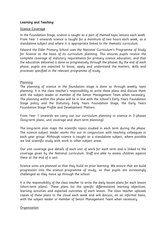# Learning and Teaching

#### Science Coverage

In the Foundation Stage, science is taught as a part of themed topic lessons each week. From Year 1 onwards science is taught for a minimum of two hours each week, as a standalone subject and where it is appropriate linked to the thematic curriculum.

Edward the Elder Primary School uses the National Curriculum's Programme of Study for Science as the basis of its curriculum planning. This ensures pupils receive the complete coverage of statutory requirements for primary science education, and that the education delivered is done so progressively through the phases. By the end of each phase, pupils are expected to know, apply and understand the matters, skills and processes specified in the relevant programme of study.

#### Planning

The planning of science in the foundation stage is done so through weekly topic planning. It is the class teacher's responsibility to write these plans and discuss them with the subject leader or member of the Senior Management Team when necessary. The planning within this phase will be in line with the school's Early Years Foundation Stage policy and the Statutory Early Years Foundation Stage, the Early Years Foundation Stage Profile and Development Matters.

From Year 1 onwards we carry out our curriculum planning in science in 3 phases (long-term plans, unit coverage and short-term planning).

The long-term plan maps the scientific topics studied in each term during the phase. The science subject leader works this out in conjunction with teaching colleagues in each year group. Although science is taught as a standalone subject, where possible we link scientific study with work in other subject areas.

Our unit coverage give details of each unit of work for each term and is linked to the coverage given by the National curriculum. Staff are able to assess children against these at the end of a unit.

Science units are planned so that they build on prior learning. We ensure that we build progression into the science programme of study, so that pupils are increasingly challenged as they move up through the school.

It is the responsibility of the class teacher to write the daily lesson plans for each lesson (short-term plans). These plans list the specific differentiated learning objectives, learning activities and expected outcomes of each lesson. The class teacher uploads copies of these plans to the cloud each week and will discuss, on an informal basis, with the subject leader or member of Senior Management Team when necessary.

#### **Organisation**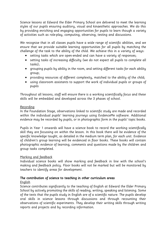Science lessons at Edward the Elder Primary School are delivered to meet the learning styles of our pupils ensuring auditory, visual and kinaesthetic approaches. We do this by providing enriching and engaging opportunities for pupils to learn though a variety of activities such as role-play, computing, observing, testing and discussions.

We recognise that in all classes pupils have a wide range of scientific abilities, and we ensure that we provide suitable learning opportunities for all pupils by matching the challenge of the task to the ability of the child. We achieve this in a variety of ways:

- setting tasks which are open-ended and can have a variety of responses;
- setting tasks of increasing difficulty (we do not expect all pupils to complete all tasks);
- grouping pupils by ability in the room, and setting different tasks for each ability group;
- providing resources of different complexity, matched to the ability of the child;
- using classroom assistants to support the work of individual pupils or groups of pupils

Throughout all lessons, staff will ensure there is a working scientifically focus and these skills will be embedded and developed across the 3 phases of school.

# Recording

In the Foundation Stage, observations linked to scientific study are made and recorded within the individual pupils' learning journeys using EvidenceMe software. Additional evidence may be recorded by pupils, or in photographic form in the pupils' topic books.

Pupils in Year 1 onwards will have a science book to record the working scientifically skill they are focussing on within the lesson. In this book there will be evidence of the specific knowledge taught, as detailed in the medium term plan, for each unit. Evidence of children's group learning will be evidenced in floor books. These books will contain photographic evidence of learning, comments and questions made by the children and group tasks completed.

# Marking and feedback

Individual science books will show marking and feedback in line with the school's making and feedback policy. Floor books will not be marked but will be monitored by teachers to identify areas for development.

# The contribution of science to teaching in other curriculum areas

# English

Science contributes significantly to the teaching of English at Edward the Elder Primary School by actively promoting the skills of reading, writing, speaking and listening. Some of the texts that the pupils study in English are of a scientific nature. The pupils develop oral skills in science lessons through discussions and through recounting their observations of scientific experiments. They develop their writing skills through writing reports and projects and by recording information.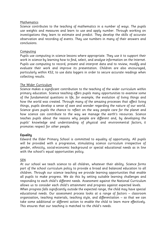#### Mathematics

Science contributes to the teaching of mathematics in a number of ways. The pupils use weights and measures and learn to use and apply number. Through working on investigations they learn to estimate and predict. They develop the skills of accurate observation and recording of events. They use numbers in many of their answers and conclusions.

#### Computing

Pupils use computing in science lessons where appropriate. They use it to support their work in science by learning how to find, select, and analyse information on the Internet. Pupils use computing to record, present and interpret data and to review, modify and evaluate their work and improve its presentation. Children are also encouraged, particularly within KS2, to use data loggers in order to secure accurate readings when collecting results.

#### The Wider Curriculum

Science makes a significant contribution to the teaching of the wider curriculum within primary education. Science teaching offers pupils many opportunities to examine some of the fundamental questions in life, for example, the evolution of living things and how the world was created. Through many of the amazing processes that affect living things, pupils develop a sense of awe and wonder regarding the nature of our world. Science gives pupils the chance to reflect on the way people care for the planet and how science can contribute to the way we manage the earth's resources. Science teaches pupils about the reasons why people are different and, by developing the pupils' knowledge and understanding of physical and environmental factors, it promotes respect for other people.

## Equality

Edward the Elder Primary School is committed to equality of opportunity. All pupils will be provided with a progressive, stimulating science curriculum irrespective of gender, ethnicity, social-economic background or special educational needs as in line with the school's equal opportunities policy.

#### SEN

At our school we teach science to all children, whatever their ability. Science forms part of the school curriculum policy to provide a broad and balanced education to all children. Through our science teaching we provide learning opportunities that enable all pupils to make progress. We do this by setting suitable learning challenges and responding to each child's different needs. Assessment against the National Curriculum allows us to consider each child's attainment and progress against expected levels.

When progress falls significantly outside the expected range, the child may have special educational needs. Our assessment process looks at a range of factors – classroom organisation, teaching materials, teaching style, and differentiation – so that we can take some additional or different action to enable the child to learn more effectively. This ensures that our teaching is matched to the child's needs.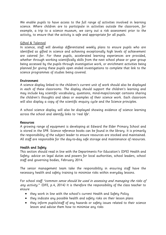We enable pupils to have access to the full range of activities involved in learning science. Where children are to participate in activities outside the classroom, for example, a trip to a science museum, we carry out a risk assessment prior to the activity, to ensure that the activity is safe and appropriate for all pupils.

## Gifted & Talented

In science, staff will develop differentiated weekly plans to ensure pupils who are identified as gifted in science and achieving exceptionally high levels of achievement are catered for. For these pupils, accelerated learning experiences are provided, whether through working scientifically skills from the next school phase or year group being accessed by the pupils through investigative work, or enrichment activities being planned for giving these pupils open ended investigations to complete that link to the science programmes of studies being covered.

## Environment

A science display linked to the children's current unit of work should also be displayed in each of these classrooms. The display should support the children's learning and may include key scientific vocabulary, questions, mind-maps/concept cartoons sharing the children's thoughts and ideas or examples of their science work. Each classroom will also display a copy of the scientific enquiry cycle and the Science principles.

A school science display will also be displayed showing evidence of science learning across the school and identify links to 'real life'.

## Resources

A growing range of equipment is developing at Edward the Elder Primary School and is stored in the SPR. Science reference books can be found in the library. It is primarily the responsibility of the subject leader to ensure resources are stocked and maintained. All staff are responsible for the day-to-day safe storage and maintenance of resources.

# Health and Safety

This section should read in line with the Departments For Education's (DFE) Health and Safety: advice on legal duties and powers for local authorities, school leaders, school staff and governing bodies, February 2014.

The senior management team take the responsibility in ensuring staff have the necessary health and safety training to minimise risks within everyday lessons.

For school staff "common sense should be used in assessing and managing the risks of any activity." (DFE, p.4, 2014) It is therefore the responsibility of the class teacher to ensure

- they work in line with the school's current Health and Safety Policy
- they indicate any possible health and safety risks on their lesson plans
- they inform pupils/staff of any hazards or safety issues related to their science lesson and advise them how to minimise any risks